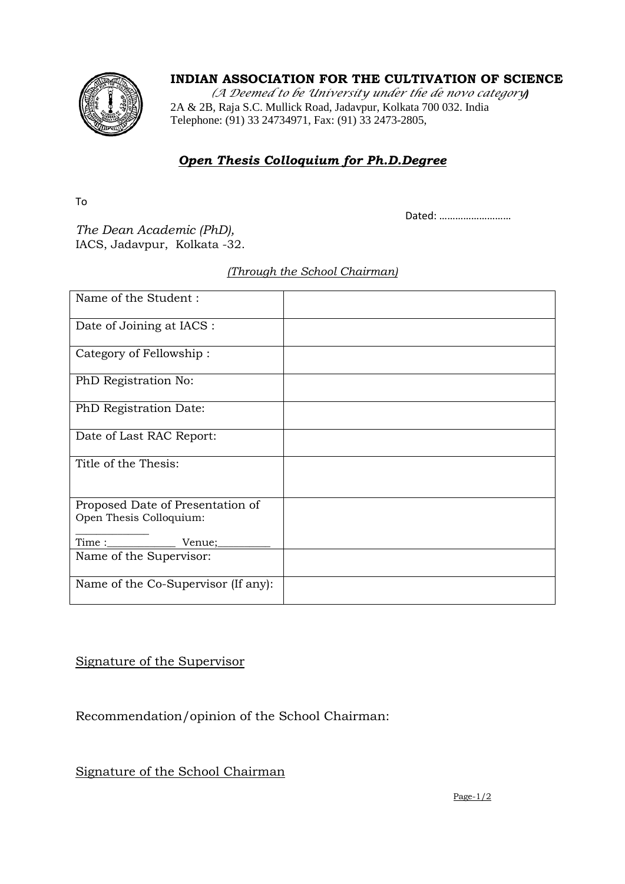### **INDIAN ASSOCIATION FOR THE CULTIVATION OF SCIENCE**



*(A Deemed to be University under the de novo category)* 2A & 2B, Raja S.C. Mullick Road, Jadavpur, Kolkata 700 032. India Telephone: (91) 33 24734971, Fax: (91) 33 2473-2805,

# *Open Thesis Colloquium for Ph.D.Degree*

To

Dated: ………………………

*The Dean Academic (PhD),* IACS, Jadavpur, Kolkata -32.

#### *(Through the School Chairman)*

| Name of the Student:                |  |
|-------------------------------------|--|
| Date of Joining at IACS :           |  |
| Category of Fellowship:             |  |
| PhD Registration No:                |  |
| PhD Registration Date:              |  |
| Date of Last RAC Report:            |  |
| Title of the Thesis:                |  |
| Proposed Date of Presentation of    |  |
| Open Thesis Colloquium:             |  |
| $V$ enue; $\_$                      |  |
| Name of the Supervisor:             |  |
| Name of the Co-Supervisor (If any): |  |

## Signature of the Supervisor

## Recommendation/opinion of the School Chairman:

Signature of the School Chairman